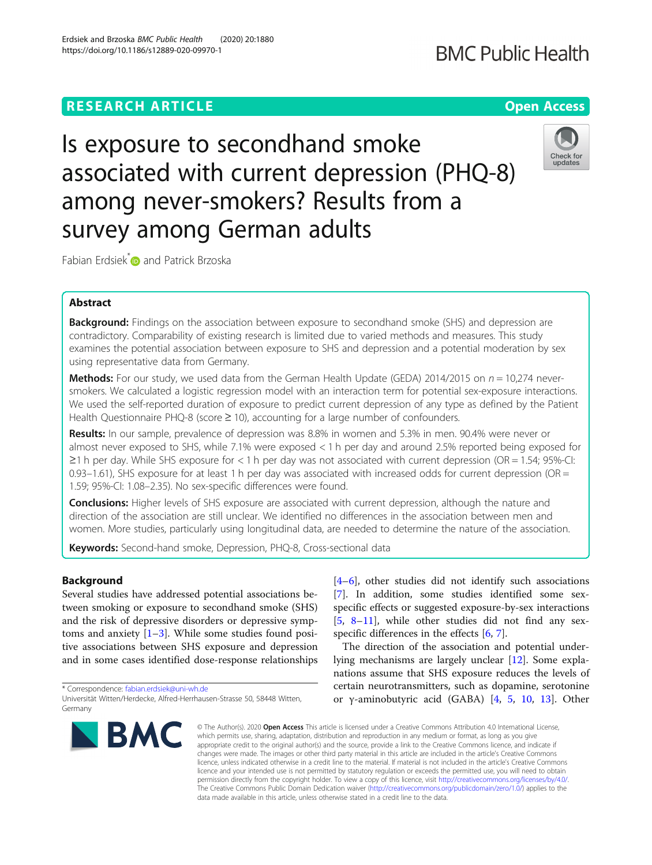# **RESEARCH ARTICLE Example 2014 12:30 The Contract of Contract ACCESS**

Is exposure to secondhand smoke associated with current depression (PHQ-8) among never-smokers? Results from a survey among German adults

Fabian Erdsiek<sup>[\\*](http://orcid.org/0000-0002-7695-1676)</sup> and Patrick Brzoska

# Abstract

Background: Findings on the association between exposure to secondhand smoke (SHS) and depression are contradictory. Comparability of existing research is limited due to varied methods and measures. This study examines the potential association between exposure to SHS and depression and a potential moderation by sex using representative data from Germany.

**Methods:** For our study, we used data from the German Health Update (GEDA) 2014/2015 on  $n = 10,274$  neversmokers. We calculated a logistic regression model with an interaction term for potential sex-exposure interactions. We used the self-reported duration of exposure to predict current depression of any type as defined by the Patient Health Questionnaire PHQ-8 (score ≥ 10), accounting for a large number of confounders.

Results: In our sample, prevalence of depression was 8.8% in women and 5.3% in men. 90.4% were never or almost never exposed to SHS, while 7.1% were exposed < 1 h per day and around 2.5% reported being exposed for ≥1 h per day. While SHS exposure for < 1 h per day was not associated with current depression (OR = 1.54; 95%-CI: 0.93–1.61), SHS exposure for at least 1 h per day was associated with increased odds for current depression (OR  $=$ 1.59; 95%-CI: 1.08–2.35). No sex-specific differences were found.

**Conclusions:** Higher levels of SHS exposure are associated with current depression, although the nature and direction of the association are still unclear. We identified no differences in the association between men and women. More studies, particularly using longitudinal data, are needed to determine the nature of the association.

Keywords: Second-hand smoke, Depression, PHQ-8, Cross-sectional data

# Background

Several studies have addressed potential associations between smoking or exposure to secondhand smoke (SHS) and the risk of depressive disorders or depressive symptoms and anxiety  $[1-3]$  $[1-3]$  $[1-3]$  $[1-3]$ . While some studies found positive associations between SHS exposure and depression and in some cases identified dose-response relationships

\* Correspondence: [fabian.erdsiek@uni-wh.de](mailto:fabian.erdsiek@uni-wh.de)

 $[4–6]$  $[4–6]$  $[4–6]$  $[4–6]$ , other studies did not identify such associations [[7\]](#page-5-0). In addition, some studies identified some sexspecific effects or suggested exposure-by-sex interactions [[5,](#page-5-0) [8](#page-5-0)–[11](#page-5-0)], while other studies did not find any sex-specific differences in the effects [\[6](#page-5-0), [7](#page-5-0)].

The direction of the association and potential underlying mechanisms are largely unclear [[12](#page-5-0)]. Some explanations assume that SHS exposure reduces the levels of certain neurotransmitters, such as dopamine, serotonine or γ-aminobutyric acid (GABA) [\[4](#page-5-0), [5,](#page-5-0) [10](#page-5-0), [13\]](#page-5-0). Other

© The Author(s), 2020 **Open Access** This article is licensed under a Creative Commons Attribution 4.0 International License, which permits use, sharing, adaptation, distribution and reproduction in any medium or format, as long as you give appropriate credit to the original author(s) and the source, provide a link to the Creative Commons licence, and indicate if changes were made. The images or other third party material in this article are included in the article's Creative Commons licence, unless indicated otherwise in a credit line to the material. If material is not included in the article's Creative Commons licence and your intended use is not permitted by statutory regulation or exceeds the permitted use, you will need to obtain permission directly from the copyright holder. To view a copy of this licence, visit [http://creativecommons.org/licenses/by/4.0/.](http://creativecommons.org/licenses/by/4.0/) The Creative Commons Public Domain Dedication waiver [\(http://creativecommons.org/publicdomain/zero/1.0/](http://creativecommons.org/publicdomain/zero/1.0/)) applies to the data made available in this article, unless otherwise stated in a credit line to the data.







Universität Witten/Herdecke, Alfred-Herrhausen-Strasse 50, 58448 Witten, Germany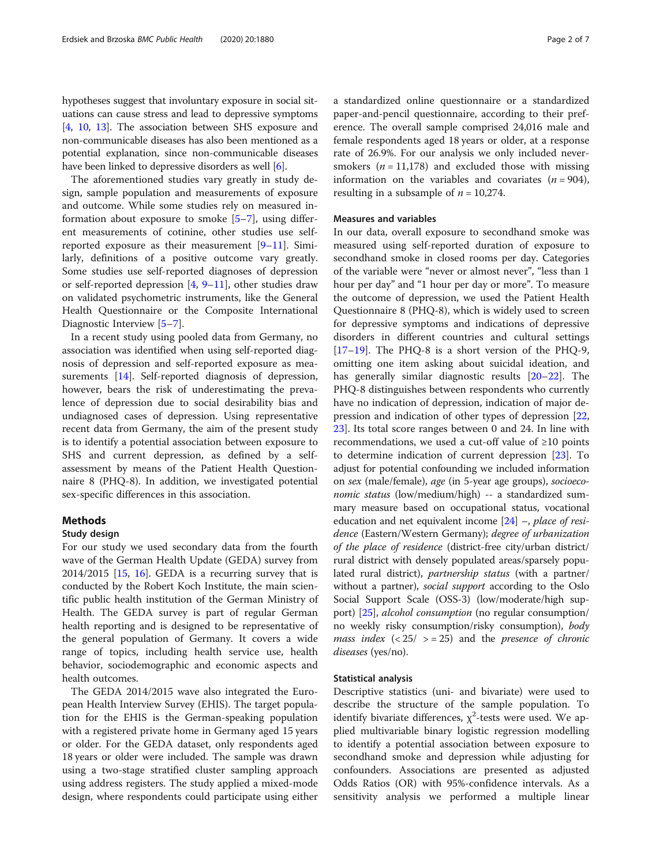hypotheses suggest that involuntary exposure in social situations can cause stress and lead to depressive symptoms [[4,](#page-5-0) [10,](#page-5-0) [13](#page-5-0)]. The association between SHS exposure and non-communicable diseases has also been mentioned as a potential explanation, since non-communicable diseases have been linked to depressive disorders as well [\[6](#page-5-0)].

The aforementioned studies vary greatly in study design, sample population and measurements of exposure and outcome. While some studies rely on measured information about exposure to smoke [[5](#page-5-0)–[7](#page-5-0)], using different measurements of cotinine, other studies use selfreported exposure as their measurement [[9](#page-5-0)–[11\]](#page-5-0). Similarly, definitions of a positive outcome vary greatly. Some studies use self-reported diagnoses of depression or self-reported depression  $[4, 9-11]$  $[4, 9-11]$  $[4, 9-11]$  $[4, 9-11]$  $[4, 9-11]$  $[4, 9-11]$ , other studies draw on validated psychometric instruments, like the General Health Questionnaire or the Composite International Diagnostic Interview [\[5](#page-5-0)–[7\]](#page-5-0).

In a recent study using pooled data from Germany, no association was identified when using self-reported diagnosis of depression and self-reported exposure as mea-surements [[14\]](#page-5-0). Self-reported diagnosis of depression, however, bears the risk of underestimating the prevalence of depression due to social desirability bias and undiagnosed cases of depression. Using representative recent data from Germany, the aim of the present study is to identify a potential association between exposure to SHS and current depression, as defined by a selfassessment by means of the Patient Health Questionnaire 8 (PHQ-8). In addition, we investigated potential sex-specific differences in this association.

# Methods

#### Study design

For our study we used secondary data from the fourth wave of the German Health Update (GEDA) survey from  $2014/2015$  [[15,](#page-5-0) [16\]](#page-5-0). GEDA is a recurring survey that is conducted by the Robert Koch Institute, the main scientific public health institution of the German Ministry of Health. The GEDA survey is part of regular German health reporting and is designed to be representative of the general population of Germany. It covers a wide range of topics, including health service use, health behavior, sociodemographic and economic aspects and health outcomes.

The GEDA 2014/2015 wave also integrated the European Health Interview Survey (EHIS). The target population for the EHIS is the German-speaking population with a registered private home in Germany aged 15 years or older. For the GEDA dataset, only respondents aged 18 years or older were included. The sample was drawn using a two-stage stratified cluster sampling approach using address registers. The study applied a mixed-mode design, where respondents could participate using either a standardized online questionnaire or a standardized paper-and-pencil questionnaire, according to their preference. The overall sample comprised 24,016 male and female respondents aged 18 years or older, at a response rate of 26.9%. For our analysis we only included neversmokers ( $n = 11,178$ ) and excluded those with missing information on the variables and covariates  $(n = 904)$ , resulting in a subsample of  $n = 10,274$ .

# Measures and variables

In our data, overall exposure to secondhand smoke was measured using self-reported duration of exposure to secondhand smoke in closed rooms per day. Categories of the variable were "never or almost never", "less than 1 hour per day" and "1 hour per day or more". To measure the outcome of depression, we used the Patient Health Questionnaire 8 (PHQ-8), which is widely used to screen for depressive symptoms and indications of depressive disorders in different countries and cultural settings [[17](#page-5-0)–[19](#page-5-0)]. The PHQ-8 is a short version of the PHQ-9, omitting one item asking about suicidal ideation, and has generally similar diagnostic results [\[20](#page-5-0)–[22\]](#page-5-0). The PHQ-8 distinguishes between respondents who currently have no indication of depression, indication of major depression and indication of other types of depression [[22](#page-5-0), [23\]](#page-5-0). Its total score ranges between 0 and 24. In line with recommendations, we used a cut-off value of ≥10 points to determine indication of current depression [\[23](#page-5-0)]. To adjust for potential confounding we included information on sex (male/female), age (in 5-year age groups), socioeconomic status (low/medium/high) -- a standardized summary measure based on occupational status, vocational education and net equivalent income  $[24]$  $[24]$  $[24]$  –, place of residence (Eastern/Western Germany); degree of urbanization of the place of residence (district-free city/urban district/ rural district with densely populated areas/sparsely populated rural district), partnership status (with a partner/ without a partner), *social support* according to the Oslo Social Support Scale (OSS-3) (low/moderate/high support) [[25](#page-5-0)], alcohol consumption (no regular consumption/ no weekly risky consumption/risky consumption), body *mass index*  $( $25/>=25$ ) and the presence of chronic$ diseases (yes/no).

## Statistical analysis

Descriptive statistics (uni- and bivariate) were used to describe the structure of the sample population. To identify bivariate differences,  $\chi^2$ -tests were used. We applied multivariable binary logistic regression modelling to identify a potential association between exposure to secondhand smoke and depression while adjusting for confounders. Associations are presented as adjusted Odds Ratios (OR) with 95%-confidence intervals. As a sensitivity analysis we performed a multiple linear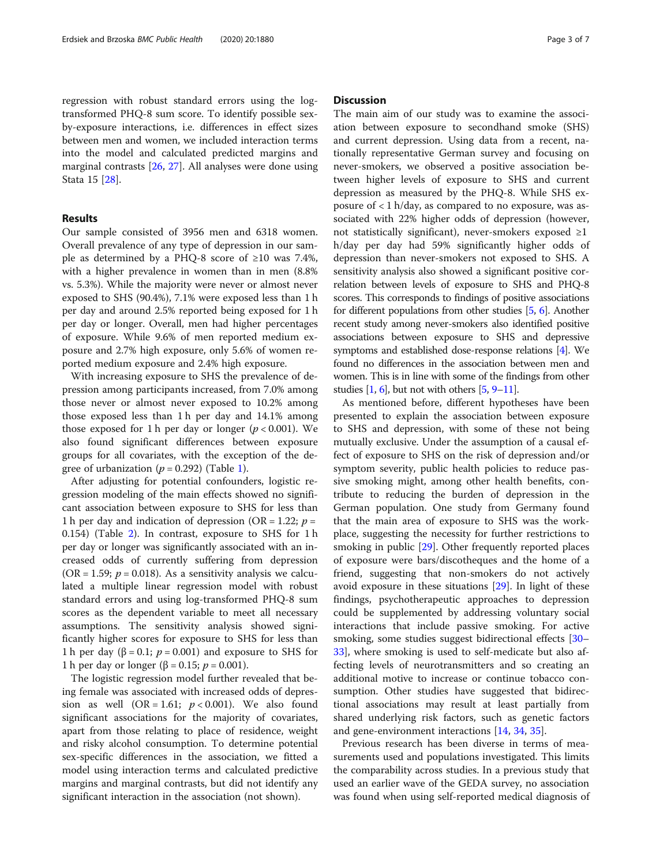regression with robust standard errors using the logtransformed PHQ-8 sum score. To identify possible sexby-exposure interactions, i.e. differences in effect sizes between men and women, we included interaction terms into the model and calculated predicted margins and marginal contrasts [[26,](#page-5-0) [27\]](#page-5-0). All analyses were done using Stata 15 [[28\]](#page-5-0).

# Results

Our sample consisted of 3956 men and 6318 women. Overall prevalence of any type of depression in our sample as determined by a PHQ-8 score of ≥10 was 7.4%, with a higher prevalence in women than in men (8.8% vs. 5.3%). While the majority were never or almost never exposed to SHS (90.4%), 7.1% were exposed less than 1 h per day and around 2.5% reported being exposed for 1 h per day or longer. Overall, men had higher percentages of exposure. While 9.6% of men reported medium exposure and 2.7% high exposure, only 5.6% of women reported medium exposure and 2.4% high exposure.

With increasing exposure to SHS the prevalence of depression among participants increased, from 7.0% among those never or almost never exposed to 10.2% among those exposed less than 1 h per day and 14.1% among those exposed for 1 h per day or longer ( $p < 0.001$ ). We also found significant differences between exposure groups for all covariates, with the exception of the degree of urbanization ( $p = 0.292$ ) (Table [1\)](#page-3-0).

After adjusting for potential confounders, logistic regression modeling of the main effects showed no significant association between exposure to SHS for less than 1 h per day and indication of depression (OR = 1.22;  $p =$ 0.154) (Table [2](#page-4-0)). In contrast, exposure to SHS for 1 h per day or longer was significantly associated with an increased odds of currently suffering from depression (OR = 1.59;  $p = 0.018$ ). As a sensitivity analysis we calculated a multiple linear regression model with robust standard errors and using log-transformed PHQ-8 sum scores as the dependent variable to meet all necessary assumptions. The sensitivity analysis showed significantly higher scores for exposure to SHS for less than 1 h per day ( $\beta$  = 0.1; *p* = 0.001) and exposure to SHS for 1 h per day or longer (β = 0.15;  $p = 0.001$ ).

The logistic regression model further revealed that being female was associated with increased odds of depression as well  $(OR = 1.61; p < 0.001)$ . We also found significant associations for the majority of covariates, apart from those relating to place of residence, weight and risky alcohol consumption. To determine potential sex-specific differences in the association, we fitted a model using interaction terms and calculated predictive margins and marginal contrasts, but did not identify any significant interaction in the association (not shown).

# **Discussion**

The main aim of our study was to examine the association between exposure to secondhand smoke (SHS) and current depression. Using data from a recent, nationally representative German survey and focusing on never-smokers, we observed a positive association between higher levels of exposure to SHS and current depression as measured by the PHQ-8. While SHS exposure of  $\langle 1 \text{ h}/\text{day} \rangle$ , as compared to no exposure, was associated with 22% higher odds of depression (however, not statistically significant), never-smokers exposed ≥1 h/day per day had 59% significantly higher odds of depression than never-smokers not exposed to SHS. A sensitivity analysis also showed a significant positive correlation between levels of exposure to SHS and PHQ-8 scores. This corresponds to findings of positive associations for different populations from other studies [\[5,](#page-5-0) [6\]](#page-5-0). Another recent study among never-smokers also identified positive associations between exposure to SHS and depressive symptoms and established dose-response relations [\[4](#page-5-0)]. We found no differences in the association between men and women. This is in line with some of the findings from other studies  $[1, 6]$  $[1, 6]$  $[1, 6]$  $[1, 6]$ , but not with others  $[5, 9-11]$  $[5, 9-11]$  $[5, 9-11]$  $[5, 9-11]$  $[5, 9-11]$  $[5, 9-11]$ .

As mentioned before, different hypotheses have been presented to explain the association between exposure to SHS and depression, with some of these not being mutually exclusive. Under the assumption of a causal effect of exposure to SHS on the risk of depression and/or symptom severity, public health policies to reduce passive smoking might, among other health benefits, contribute to reducing the burden of depression in the German population. One study from Germany found that the main area of exposure to SHS was the workplace, suggesting the necessity for further restrictions to smoking in public [\[29](#page-6-0)]. Other frequently reported places of exposure were bars/discotheques and the home of a friend, suggesting that non-smokers do not actively avoid exposure in these situations [[29\]](#page-6-0). In light of these findings, psychotherapeutic approaches to depression could be supplemented by addressing voluntary social interactions that include passive smoking. For active smoking, some studies suggest bidirectional effects [[30](#page-6-0)– [33\]](#page-6-0), where smoking is used to self-medicate but also affecting levels of neurotransmitters and so creating an additional motive to increase or continue tobacco consumption. Other studies have suggested that bidirectional associations may result at least partially from shared underlying risk factors, such as genetic factors and gene-environment interactions [[14](#page-5-0), [34](#page-6-0), [35](#page-6-0)].

Previous research has been diverse in terms of measurements used and populations investigated. This limits the comparability across studies. In a previous study that used an earlier wave of the GEDA survey, no association was found when using self-reported medical diagnosis of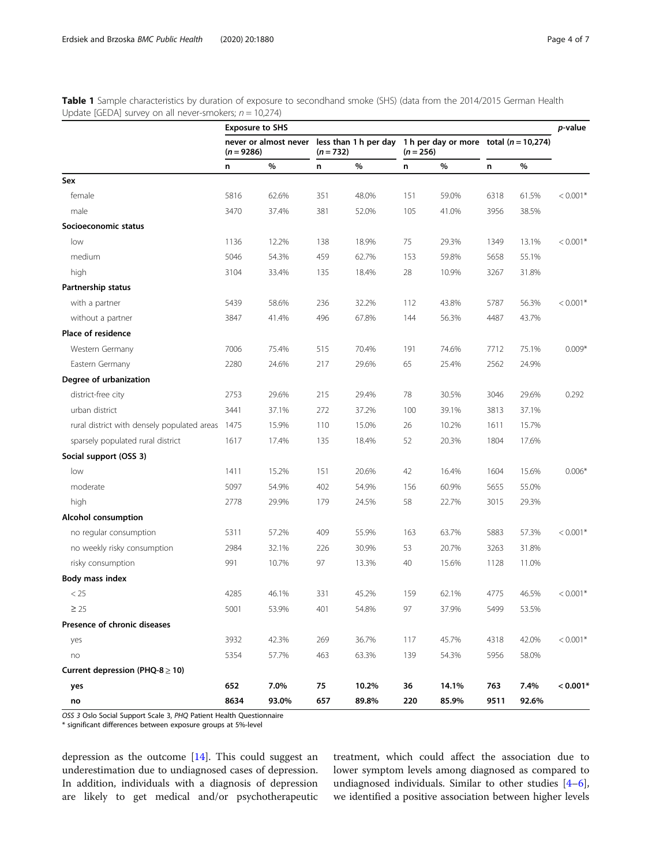<span id="page-3-0"></span>Table 1 Sample characteristics by duration of exposure to secondhand smoke (SHS) (data from the 2014/2015 German Health Update [GEDA] survey on all never-smokers;  $n = 10,274$ ]

|                                                  | <b>Exposure to SHS</b> |       |             |       |             |       |                                                                                      | p-value |            |
|--------------------------------------------------|------------------------|-------|-------------|-------|-------------|-------|--------------------------------------------------------------------------------------|---------|------------|
|                                                  | $(n = 9286)$           |       | $(n = 732)$ |       | $(n = 256)$ |       | never or almost never less than 1 h per day 1 h per day or more total $(n = 10,274)$ |         |            |
|                                                  | n                      | $\%$  | n           | $\%$  | n           | %     | n                                                                                    | %       |            |
| Sex                                              |                        |       |             |       |             |       |                                                                                      |         |            |
| female                                           | 5816                   | 62.6% | 351         | 48.0% | 151         | 59.0% | 6318                                                                                 | 61.5%   | $< 0.001*$ |
| male                                             | 3470                   | 37.4% | 381         | 52.0% | 105         | 41.0% | 3956                                                                                 | 38.5%   |            |
| Socioeconomic status                             |                        |       |             |       |             |       |                                                                                      |         |            |
| low                                              | 1136                   | 12.2% | 138         | 18.9% | 75          | 29.3% | 1349                                                                                 | 13.1%   | $< 0.001*$ |
| medium                                           | 5046                   | 54.3% | 459         | 62.7% | 153         | 59.8% | 5658                                                                                 | 55.1%   |            |
| high                                             | 3104                   | 33.4% | 135         | 18.4% | 28          | 10.9% | 3267                                                                                 | 31.8%   |            |
| Partnership status                               |                        |       |             |       |             |       |                                                                                      |         |            |
| with a partner                                   | 5439                   | 58.6% | 236         | 32.2% | 112         | 43.8% | 5787                                                                                 | 56.3%   | $< 0.001*$ |
| without a partner                                | 3847                   | 41.4% | 496         | 67.8% | 144         | 56.3% | 4487                                                                                 | 43.7%   |            |
| Place of residence                               |                        |       |             |       |             |       |                                                                                      |         |            |
| Western Germany                                  | 7006                   | 75.4% | 515         | 70.4% | 191         | 74.6% | 7712                                                                                 | 75.1%   | $0.009*$   |
| Eastern Germany                                  | 2280                   | 24.6% | 217         | 29.6% | 65          | 25.4% | 2562                                                                                 | 24.9%   |            |
| Degree of urbanization                           |                        |       |             |       |             |       |                                                                                      |         |            |
| district-free city                               | 2753                   | 29.6% | 215         | 29.4% | 78          | 30.5% | 3046                                                                                 | 29.6%   | 0.292      |
| urban district                                   | 3441                   | 37.1% | 272         | 37.2% | 100         | 39.1% | 3813                                                                                 | 37.1%   |            |
| rural district with densely populated areas 1475 |                        | 15.9% | 110         | 15.0% | 26          | 10.2% | 1611                                                                                 | 15.7%   |            |
| sparsely populated rural district                | 1617                   | 17.4% | 135         | 18.4% | 52          | 20.3% | 1804                                                                                 | 17.6%   |            |
| Social support (OSS 3)                           |                        |       |             |       |             |       |                                                                                      |         |            |
| low                                              | 1411                   | 15.2% | 151         | 20.6% | 42          | 16.4% | 1604                                                                                 | 15.6%   | $0.006*$   |
| moderate                                         | 5097                   | 54.9% | 402         | 54.9% | 156         | 60.9% | 5655                                                                                 | 55.0%   |            |
| high                                             | 2778                   | 29.9% | 179         | 24.5% | 58          | 22.7% | 3015                                                                                 | 29.3%   |            |
| Alcohol consumption                              |                        |       |             |       |             |       |                                                                                      |         |            |
| no regular consumption                           | 5311                   | 57.2% | 409         | 55.9% | 163         | 63.7% | 5883                                                                                 | 57.3%   | $< 0.001*$ |
| no weekly risky consumption                      | 2984                   | 32.1% | 226         | 30.9% | 53          | 20.7% | 3263                                                                                 | 31.8%   |            |
| risky consumption                                | 991                    | 10.7% | 97          | 13.3% | 40          | 15.6% | 1128                                                                                 | 11.0%   |            |
| Body mass index                                  |                        |       |             |       |             |       |                                                                                      |         |            |
| < 25                                             | 4285                   | 46.1% | 331         | 45.2% | 159         | 62.1% | 4775                                                                                 | 46.5%   | $< 0.001*$ |
| $\geq 25$                                        | 5001                   | 53.9% | 401         | 54.8% | 97          | 37.9% | 5499                                                                                 | 53.5%   |            |
| Presence of chronic diseases                     |                        |       |             |       |             |       |                                                                                      |         |            |
| yes                                              | 3932                   | 42.3% | 269         | 36.7% | 117         | 45.7% | 4318                                                                                 | 42.0%   | $< 0.001*$ |
| no                                               | 5354                   | 57.7% | 463         | 63.3% | 139         | 54.3% | 5956                                                                                 | 58.0%   |            |
| Current depression (PHQ-8 $\geq$ 10)             |                        |       |             |       |             |       |                                                                                      |         |            |
| yes                                              | 652                    | 7.0%  | 75          | 10.2% | 36          | 14.1% | 763                                                                                  | 7.4%    | $< 0.001*$ |
| no                                               | 8634                   | 93.0% | 657         | 89.8% | 220         | 85.9% | 9511                                                                                 | 92.6%   |            |

OSS 3 Oslo Social Support Scale 3, PHQ Patient Health Questionnaire

\* significant differences between exposure groups at 5%-level

depression as the outcome [[14](#page-5-0)]. This could suggest an underestimation due to undiagnosed cases of depression. In addition, individuals with a diagnosis of depression are likely to get medical and/or psychotherapeutic treatment, which could affect the association due to lower symptom levels among diagnosed as compared to undiagnosed individuals. Similar to other studies [\[4](#page-5-0)–[6](#page-5-0)], we identified a positive association between higher levels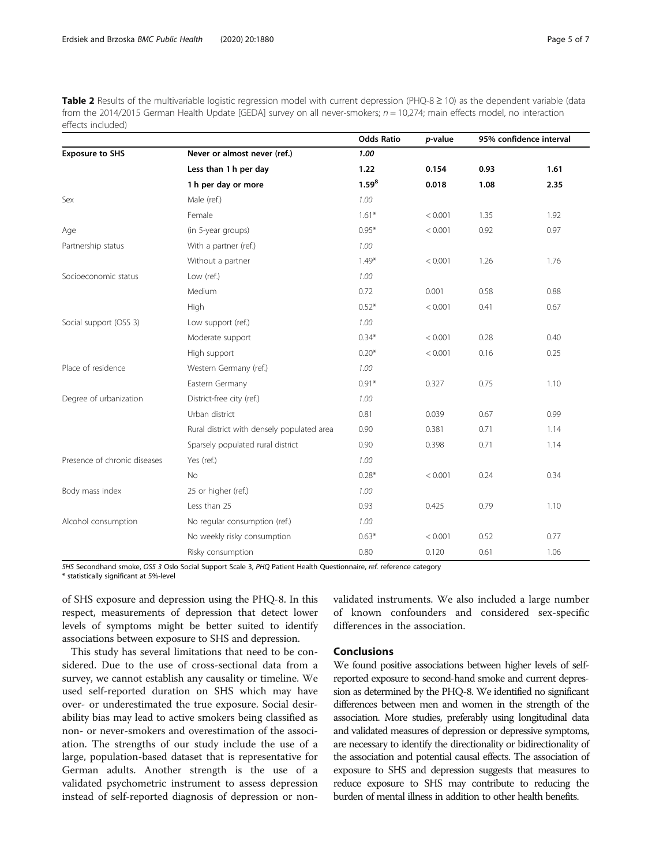<span id="page-4-0"></span>Table 2 Results of the multivariable logistic regression model with current depression (PHQ-8  $\geq$  10) as the dependent variable (data from the 2014/2015 German Health Update [GEDA] survey on all never-smokers;  $n = 10,274$ ; main effects model, no interaction effects included)

|                              |                                            | <b>Odds Ratio</b> | p-value | 95% confidence interval |      |
|------------------------------|--------------------------------------------|-------------------|---------|-------------------------|------|
| <b>Exposure to SHS</b>       | Never or almost never (ref.)               | 1.00              |         |                         |      |
|                              | Less than 1 h per day                      | 1.22              | 0.154   | 0.93                    | 1.61 |
|                              | 1 h per day or more                        | $1.59^{8}$        | 0.018   | 1.08                    | 2.35 |
| Sex                          | Male (ref.)                                | 1.00              |         |                         |      |
|                              | Female                                     | $1.61*$           | < 0.001 | 1.35                    | 1.92 |
| Age                          | (in 5-year groups)                         | $0.95*$           | < 0.001 | 0.92                    | 0.97 |
| Partnership status           | With a partner (ref.)                      | 1.00              |         |                         |      |
|                              | Without a partner                          | $1.49*$           | < 0.001 | 1.26                    | 1.76 |
| Socioeconomic status         | Low (ref.)                                 | 1.00              |         |                         |      |
|                              | Medium                                     | 0.72              | 0.001   | 0.58                    | 0.88 |
|                              | High                                       | $0.52*$           | < 0.001 | 0.41                    | 0.67 |
| Social support (OSS 3)       | Low support (ref.)                         | 1.00              |         |                         |      |
|                              | Moderate support                           | $0.34*$           | < 0.001 | 0.28                    | 0.40 |
|                              | High support                               | $0.20*$           | < 0.001 | 0.16                    | 0.25 |
| Place of residence           | Western Germany (ref.)                     | 1.00              |         |                         |      |
|                              | Eastern Germany                            | $0.91*$           | 0.327   | 0.75                    | 1.10 |
| Degree of urbanization       | District-free city (ref.)                  | 1.00              |         |                         |      |
|                              | Urban district                             | 0.81              | 0.039   | 0.67                    | 0.99 |
|                              | Rural district with densely populated area | 0.90              | 0.381   | 0.71                    | 1.14 |
|                              | Sparsely populated rural district          | 0.90              | 0.398   | 0.71                    | 1.14 |
| Presence of chronic diseases | Yes (ref.)                                 | 1.00              |         |                         |      |
|                              | No                                         | $0.28*$           | < 0.001 | 0.24                    | 0.34 |
| Body mass index              | 25 or higher (ref.)                        | 1.00              |         |                         |      |
|                              | Less than 25                               | 0.93              | 0.425   | 0.79                    | 1.10 |
| Alcohol consumption          | No regular consumption (ref.)              | 1.00              |         |                         |      |
|                              | No weekly risky consumption                | $0.63*$           | < 0.001 | 0.52                    | 0.77 |
|                              | Risky consumption                          | 0.80              | 0.120   | 0.61                    | 1.06 |

SHS Secondhand smoke, OSS 3 Oslo Social Support Scale 3, PHQ Patient Health Questionnaire, ref. reference category

\* statistically significant at 5%-level

of SHS exposure and depression using the PHQ-8. In this respect, measurements of depression that detect lower levels of symptoms might be better suited to identify associations between exposure to SHS and depression.

This study has several limitations that need to be considered. Due to the use of cross-sectional data from a survey, we cannot establish any causality or timeline. We used self-reported duration on SHS which may have over- or underestimated the true exposure. Social desirability bias may lead to active smokers being classified as non- or never-smokers and overestimation of the association. The strengths of our study include the use of a large, population-based dataset that is representative for German adults. Another strength is the use of a validated psychometric instrument to assess depression instead of self-reported diagnosis of depression or nonvalidated instruments. We also included a large number of known confounders and considered sex-specific differences in the association.

# Conclusions

We found positive associations between higher levels of selfreported exposure to second-hand smoke and current depression as determined by the PHQ-8. We identified no significant differences between men and women in the strength of the association. More studies, preferably using longitudinal data and validated measures of depression or depressive symptoms, are necessary to identify the directionality or bidirectionality of the association and potential causal effects. The association of exposure to SHS and depression suggests that measures to reduce exposure to SHS may contribute to reducing the burden of mental illness in addition to other health benefits.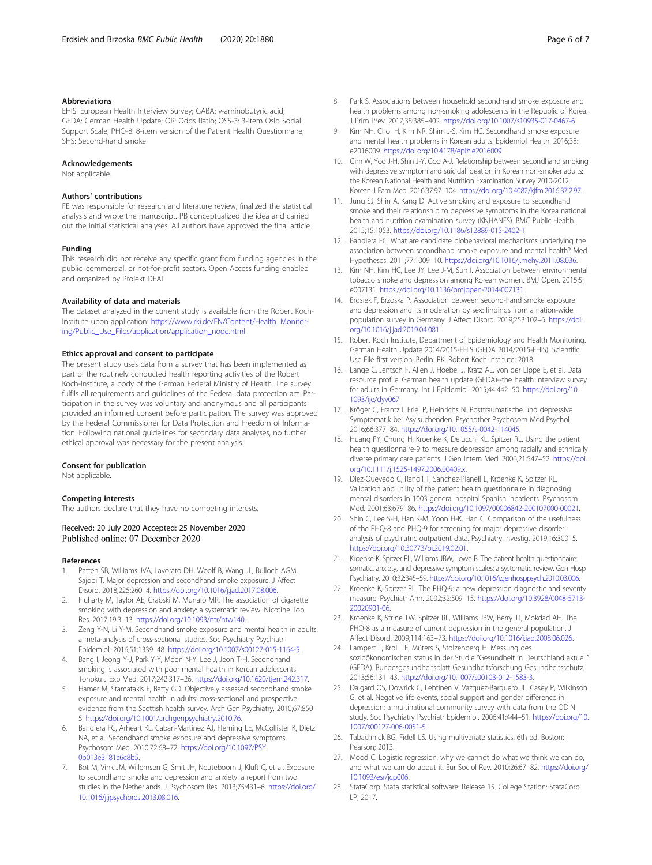#### <span id="page-5-0"></span>Abbreviations

EHIS: European Health Interview Survey; GABA: γ-aminobutyric acid; GEDA: German Health Update; OR: Odds Ratio; OSS-3: 3-item Oslo Social Support Scale; PHQ-8: 8-item version of the Patient Health Questionnaire; SHS: Second-hand smoke

#### Acknowledgements

Not applicable.

### Authors' contributions

FE was responsible for research and literature review, finalized the statistical analysis and wrote the manuscript. PB conceptualized the idea and carried out the initial statistical analyses. All authors have approved the final article.

#### Funding

This research did not receive any specific grant from funding agencies in the public, commercial, or not-for-profit sectors. Open Access funding enabled and organized by Projekt DEAL.

# Availability of data and materials

The dataset analyzed in the current study is available from the Robert Koch-Institute upon application: [https://www.rki.de/EN/Content/Health\\_Monitor](https://www.rki.de/EN/Content/Health_Monitoring/Public_Use_Files/application/application_node.html)[ing/Public\\_Use\\_Files/application/application\\_node.html](https://www.rki.de/EN/Content/Health_Monitoring/Public_Use_Files/application/application_node.html).

#### Ethics approval and consent to participate

The present study uses data from a survey that has been implemented as part of the routinely conducted health reporting activities of the Robert Koch-Institute, a body of the German Federal Ministry of Health. The survey fulfils all requirements and guidelines of the Federal data protection act. Participation in the survey was voluntary and anonymous and all participants provided an informed consent before participation. The survey was approved by the Federal Commissioner for Data Protection and Freedom of Information. Following national guidelines for secondary data analyses, no further ethical approval was necessary for the present analysis.

#### Consent for publication

Not applicable.

#### Competing interests

The authors declare that they have no competing interests.

Received: 20 July 2020 Accepted: 25 November 2020 Published online: 07 December 2020

#### References

- Patten SB, Williams JVA, Lavorato DH, Woolf B, Wang JL, Bulloch AGM, Sajobi T. Major depression and secondhand smoke exposure. J Affect Disord. 2018;225:260–4. [https://doi.org/10.1016/j.jad.2017.08.006.](https://doi.org/10.1016/j.jad.2017.08.006)
- 2. Fluharty M, Taylor AE, Grabski M, Munafò MR. The association of cigarette smoking with depression and anxiety: a systematic review. Nicotine Tob Res. 2017;19:3–13. [https://doi.org/10.1093/ntr/ntw140.](https://doi.org/10.1093/ntr/ntw140)
- Zeng Y-N, Li Y-M. Secondhand smoke exposure and mental health in adults: a meta-analysis of cross-sectional studies. Soc Psychiatry Psychiatr Epidemiol. 2016;51:1339–48. <https://doi.org/10.1007/s00127-015-1164-5>.
- 4. Bang I, Jeong Y-J, Park Y-Y, Moon N-Y, Lee J, Jeon T-H. Secondhand smoking is associated with poor mental health in Korean adolescents. Tohoku J Exp Med. 2017;242:317–26. <https://doi.org/10.1620/tjem.242.317>.
- 5. Hamer M, Stamatakis E, Batty GD. Objectively assessed secondhand smoke exposure and mental health in adults: cross-sectional and prospective evidence from the Scottish health survey. Arch Gen Psychiatry. 2010;67:850– 5. <https://doi.org/10.1001/archgenpsychiatry.2010.76>.
- 6. Bandiera FC, Arheart KL, Caban-Martinez AJ, Fleming LE, McCollister K, Dietz NA, et al. Secondhand smoke exposure and depressive symptoms. Psychosom Med. 2010;72:68–72. [https://doi.org/10.1097/PSY.](https://doi.org/10.1097/PSY.0b013e3181c6c8b5) [0b013e3181c6c8b5.](https://doi.org/10.1097/PSY.0b013e3181c6c8b5)
- 7. Bot M, Vink JM, Willemsen G, Smit JH, Neuteboom J, Kluft C, et al. Exposure to secondhand smoke and depression and anxiety: a report from two studies in the Netherlands. J Psychosom Res. 2013;75:431–6. [https://doi.org/](https://doi.org/10.1016/j.jpsychores.2013.08.016) [10.1016/j.jpsychores.2013.08.016.](https://doi.org/10.1016/j.jpsychores.2013.08.016)
- 8. Park S. Associations between household secondhand smoke exposure and health problems among non-smoking adolescents in the Republic of Korea. J Prim Prev. 2017;38:385–402. [https://doi.org/10.1007/s10935-017-0467-6.](https://doi.org/10.1007/s10935-017-0467-6)
- Kim NH, Choi H, Kim NR, Shim J-S, Kim HC. Secondhand smoke exposure and mental health problems in Korean adults. Epidemiol Health. 2016;38: e2016009. [https://doi.org/10.4178/epih.e2016009.](https://doi.org/10.4178/epih.e2016009)
- 10. Gim W, Yoo J-H, Shin J-Y, Goo A-J. Relationship between secondhand smoking with depressive symptom and suicidal ideation in Korean non-smoker adults: the Korean National Health and Nutrition Examination Survey 2010-2012. Korean J Fam Med. 2016;37:97–104. [https://doi.org/10.4082/kjfm.2016.37.2.97.](https://doi.org/10.4082/kjfm.2016.37.2.97)
- 11. Jung SJ, Shin A, Kang D. Active smoking and exposure to secondhand smoke and their relationship to depressive symptoms in the Korea national health and nutrition examination survey (KNHANES). BMC Public Health. 2015;15:1053. [https://doi.org/10.1186/s12889-015-2402-1.](https://doi.org/10.1186/s12889-015-2402-1)
- 12. Bandiera FC. What are candidate biobehavioral mechanisms underlying the association between secondhand smoke exposure and mental health? Med Hypotheses. 2011;77:1009–10. [https://doi.org/10.1016/j.mehy.2011.08.036.](https://doi.org/10.1016/j.mehy.2011.08.036)
- 13. Kim NH, Kim HC, Lee JY, Lee J-M, Suh I. Association between environmental tobacco smoke and depression among Korean women. BMJ Open. 2015;5: e007131. <https://doi.org/10.1136/bmjopen-2014-007131>.
- 14. Erdsiek F, Brzoska P. Association between second-hand smoke exposure and depression and its moderation by sex: findings from a nation-wide population survey in Germany. J Affect Disord. 2019;253:102–6. [https://doi.](https://doi.org/10.1016/j.jad.2019.04.081) [org/10.1016/j.jad.2019.04.081](https://doi.org/10.1016/j.jad.2019.04.081).
- 15. Robert Koch Institute, Department of Epidemiology and Health Monitoring. German Health Update 2014/2015-EHIS (GEDA 2014/2015-EHIS): Scientific Use File first version. Berlin: RKI Robert Koch Institute; 2018.
- 16. Lange C, Jentsch F, Allen J, Hoebel J, Kratz AL, von der Lippe E, et al. Data resource profile: German health update (GEDA)--the health interview survey for adults in Germany. Int J Epidemiol. 2015;44:442–50. [https://doi.org/10.](https://doi.org/10.1093/ije/dyv067) [1093/ije/dyv067](https://doi.org/10.1093/ije/dyv067).
- 17. Kröger C, Frantz I, Friel P, Heinrichs N. Posttraumatische und depressive Symptomatik bei Asylsuchenden. Psychother Psychosom Med Psychol. 2016;66:377–84. [https://doi.org/10.1055/s-0042-114045.](https://doi.org/10.1055/s-0042-114045)
- 18. Huang FY, Chung H, Kroenke K, Delucchi KL, Spitzer RL. Using the patient health questionnaire-9 to measure depression among racially and ethnically diverse primary care patients. J Gen Intern Med. 2006;21:547–52. [https://doi.](https://doi.org/10.1111/j.1525-1497.2006.00409.x) [org/10.1111/j.1525-1497.2006.00409.x](https://doi.org/10.1111/j.1525-1497.2006.00409.x).
- 19. Diez-Quevedo C, Rangil T, Sanchez-Planell L, Kroenke K, Spitzer RL. Validation and utility of the patient health questionnaire in diagnosing mental disorders in 1003 general hospital Spanish inpatients. Psychosom Med. 2001;63:679–86. <https://doi.org/10.1097/00006842-200107000-00021>.
- 20. Shin C, Lee S-H, Han K-M, Yoon H-K, Han C. Comparison of the usefulness of the PHQ-8 and PHQ-9 for screening for major depressive disorder: analysis of psychiatric outpatient data. Psychiatry Investig. 2019;16:300–5. [https://doi.org/10.30773/pi.2019.02.01.](https://doi.org/10.30773/pi.2019.02.01)
- 21. Kroenke K, Spitzer RL, Williams JBW, Löwe B. The patient health questionnaire: somatic, anxiety, and depressive symptom scales: a systematic review. Gen Hosp Psychiatry. 2010;32:345–59. [https://doi.org/10.1016/j.genhosppsych.2010.03.006.](https://doi.org/10.1016/j.genhosppsych.2010.03.006)
- 22. Kroenke K, Spitzer RL. The PHQ-9: a new depression diagnostic and severity measure. Psychiatr Ann. 2002;32:509–15. [https://doi.org/10.3928/0048-5713-](https://doi.org/10.3928/0048-5713-20020901-06) [20020901-06.](https://doi.org/10.3928/0048-5713-20020901-06)
- 23. Kroenke K, Strine TW, Spitzer RL, Williams JBW, Berry JT, Mokdad AH. The PHQ-8 as a measure of current depression in the general population. J Affect Disord. 2009;114:163–73. <https://doi.org/10.1016/j.jad.2008.06.026>.
- 24. Lampert T, Kroll LE, Müters S, Stolzenberg H. Messung des sozioökonomischen status in der Studie "Gesundheit in Deutschland aktuell" (GEDA). Bundesgesundheitsblatt Gesundheitsforschung Gesundheitsschutz. 2013;56:131–43. [https://doi.org/10.1007/s00103-012-1583-3.](https://doi.org/10.1007/s00103-012-1583-3)
- 25. Dalgard OS, Dowrick C, Lehtinen V, Vazquez-Barquero JL, Casey P, Wilkinson G, et al. Negative life events, social support and gender difference in depression: a multinational community survey with data from the ODIN study. Soc Psychiatry Psychiatr Epidemiol. 2006;41:444–51. [https://doi.org/10.](https://doi.org/10.1007/s00127-006-0051-5) [1007/s00127-006-0051-5](https://doi.org/10.1007/s00127-006-0051-5).
- 26. Tabachnick BG, Fidell LS. Using multivariate statistics. 6th ed. Boston: Pearson; 2013.
- 27. Mood C. Logistic regression: why we cannot do what we think we can do, and what we can do about it. Eur Sociol Rev. 2010;26:67–82. [https://doi.org/](https://doi.org/10.1093/esr/jcp006) [10.1093/esr/jcp006](https://doi.org/10.1093/esr/jcp006).
- 28. StataCorp. Stata statistical software: Release 15. College Station: StataCorp LP; 2017.